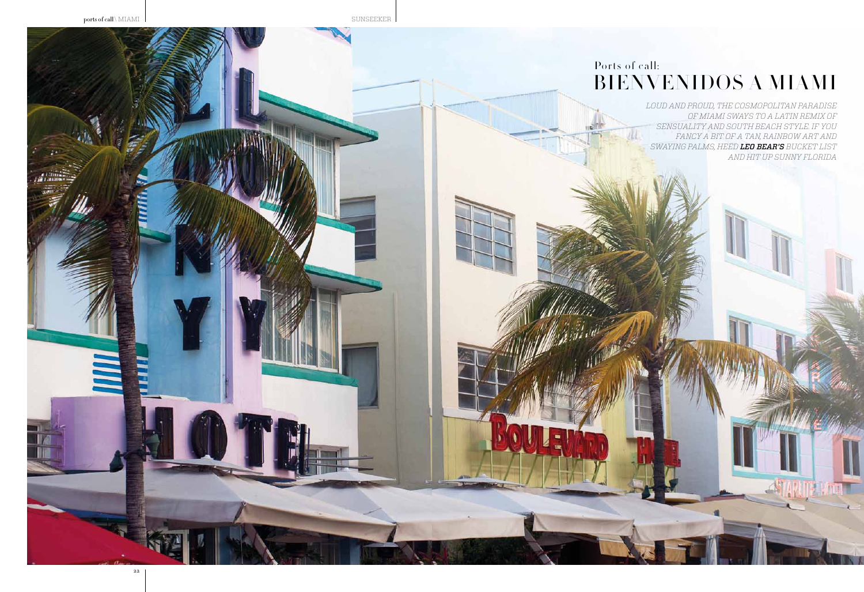*Loud and proud, the cosmopolitan paradise of Miami sways to a Latin remix of sensuality and South Beach style. If you fancy a bit of a tan, rainbow art and swaying palms, heed Leo Bear's bucket list and hit up sunny Florida*



# Ports of call: BIENVENIDOS A MIAMI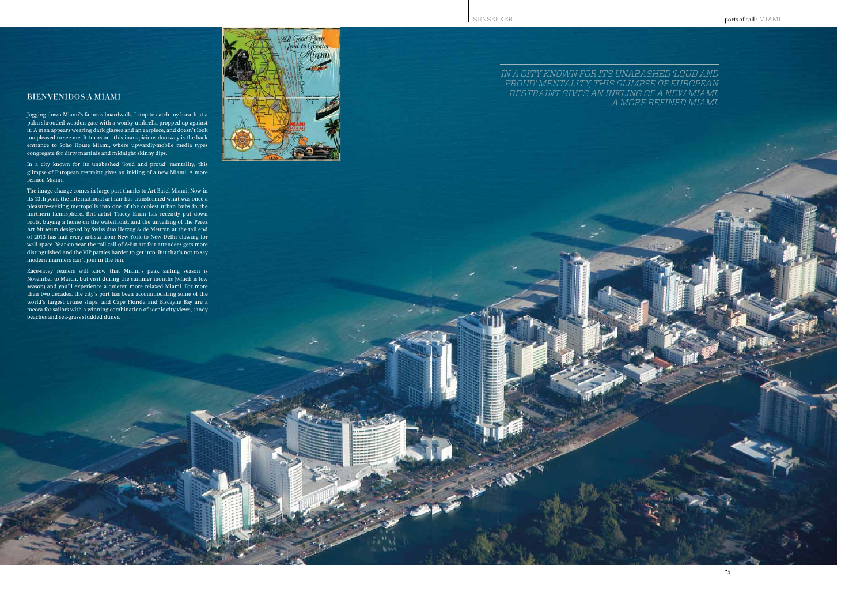A LARK Y

Jogging down Miami's famous boardwalk, I stop to catch my breath at a palm-shrouded wooden gate with a wonky umbrella propped up against it. A man appears wearing dark glasses and an earpiece, and doesn't look too pleased to see me. It turns out this inauspicious doorway is the back entrance to Soho House Miami, where upwardly-mobile media types congregate for dirty martinis and midnight skinny dips.

In a city known for its unabashed 'loud and proud' mentality, this glimpse of European restraint gives an inkling of a new Miami. A more refined Miami.

*In a city known for its unabashed 'loud and proud' mentality, this glimpse of European restraint gives an inkling of a new Miami.* **BIENVENIDOS A MIAMI A MUAMINE DE A MENTRA MIAMINE DE A MUAMINE DE A MUAMINE DE A MUAMINE DE A MUAMINE DE A MUAMI** 

The image change comes in large part thanks to Art Basel Miami. Now in its 13th year, the international art fair has transformed what was once a pleasure-seeking metropolis into one of the coolest urban hubs in the northern hemisphere. Brit artist Tracey Emin has recently put down roots, buying a home on the waterfront, and the unveiling of the Perez Art Museum designed by Swiss duo Herzog & de Meuron at the tail end of 2013 has had every artista from New York to New Delhi clawing for wall space. Year on year the roll call of A-list art fair attendees gets more distinguished and the VIP parties harder to get into. But that's not to say modern mariners can't join in the fun.

Race-savvy readers will know that Miami's peak sailing season is November to March, but visit during the summer months (which is low season) and you'll experience a quieter, more relaxed Miami. For more than two decades, the city's port has been accommodating some of the world's largest cruise ships, and Cape Florida and Biscayne Bay are a mecca for sailors with a winning combination of scenic city views, sandy beaches and sea-grass studded dunes.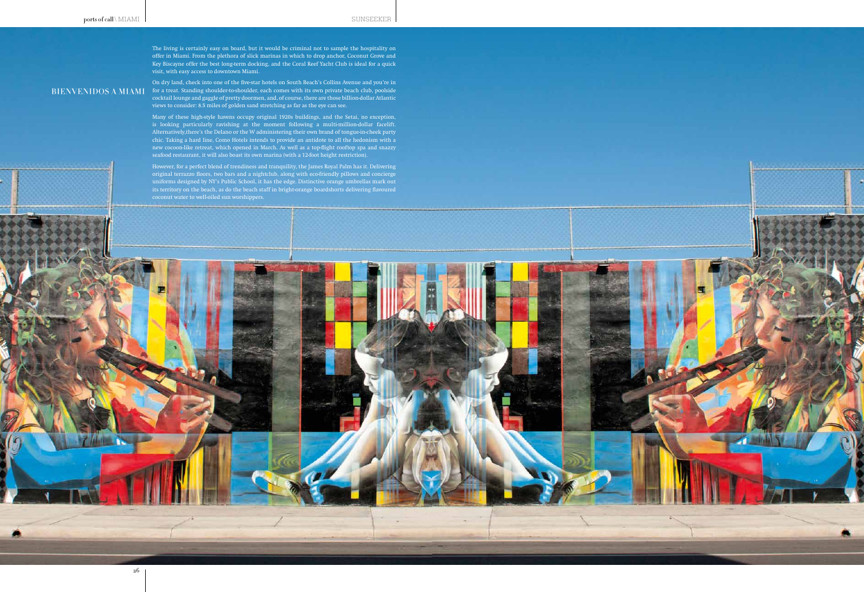The living is certainly easy on board, but it would be criminal not to sample the hospitality on offer in Miami. From the plethora of slick marinas in which to drop anchor, Coconut Grove and Key Biscayne offer the best long-term docking, and the Coral Reef Yacht Club is ideal for a quick visit, with easy access to downtown Miami.

On dry land, check into one of the five-star hotels on South Beach's Collins Avenue and you're in for a treat. Standing shoulder-to-shoulder, each comes with its own private beach club, poolside  $\rm BIENTENIDOS~A~MIAMI$  for a treat. Standing shoulder-to-shoulder, each comes with its own private beach club, poolside<br>cocktail lounge and gaggle of pretty doormen, and, of course, there are those billion-dollar Atlantic views to consider: 8.5 miles of golden sand stretching as far as the eye can see.

> Many of these high-style havens occupy original 1920s buildings, and the Setai, no exception, is looking particularly ravishing at the moment following a multi-million-dollar facelift. Alternatively,there's the Delano or the W administering their own brand of tongue-in-cheek party chic. Taking a hard line, Como Hotels intends to provide an antidote to all the hedonism with a new cocoon-like retreat, which opened in March. As well as a top-flight rooftop spa and snazzy seafood restaurant, it will also boast its own marina (with a 12-foot height restriction).

> However, for a perfect blend of trendiness and tranquility, the James Royal Palm has it. Delivering original terrazzo floors, two bars and a nightclub, along with eco-friendly pillows and concierge uniforms designed by NY's Public School, it has the edge. Distinctive orange umbrellas mark out its territory on the beach, as do the beach staff in bright-orange boardshorts delivering flavoured coconut water to well-oiled sun worshippers.

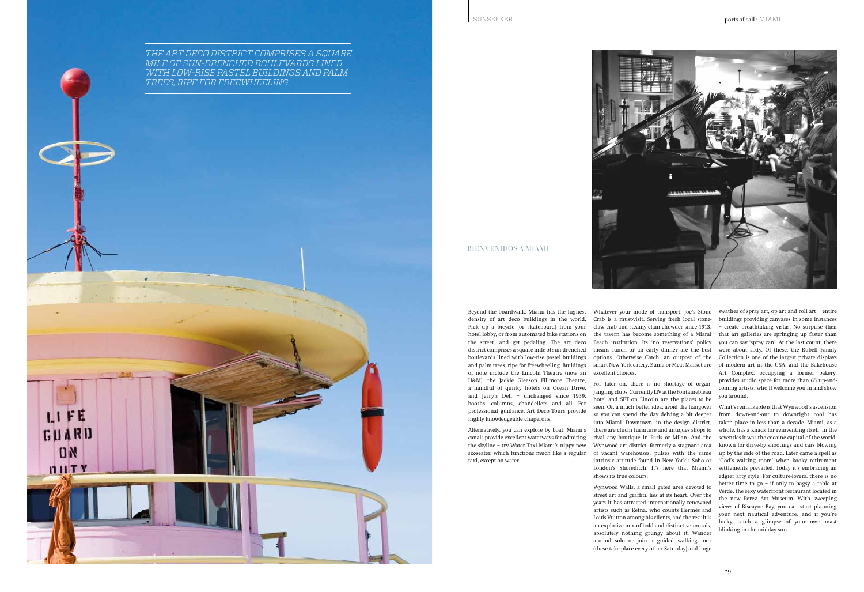Beyond the boardwalk, Miami has the highest density of art deco buildings in the world. Pick up a bicycle (or skateboard) from your hotel lobby, or from automated bike stations on the street, and get pedaling. The art deco district comprises a square mile of sun-drenched boulevards lined with low-rise pastel buildings and palm trees, ripe for freewheeling. Buildings of note include the Lincoln Theatre (now an excellent choices. H&M), the Jackie Gleason Fillmore Theatre, a handful of quirky hotels on Ocean Drive, and Jerry's Deli – unchanged since 1939: booths, columns, chandeliers and all. For professional guidance, Art Deco Tours provide highly knowledgeable chaperons.

Alternatively, you can explore by boat. Miami's canals provide excellent waterways for admiring the skyline – try Water Taxi Miami's nippy new taxi, except on water.



Whatever your mode of transport, Joe's Stone Crab is a must-visit. Serving fresh local stoneclaw crab and steamy clam chowder since 1913, the tavern has become something of a Miami Beach institution. Its 'no reservations' policy means lunch or an early dinner are the best options. Otherwise Catch, an outpost of the smart New York eatery, Zuma or Meat Market are

six-seater, which functions much like a regular of vacant warehouses, pulses with the same For later on, there is no shortage of organjangling clubs. Currently LIV at the Fontainebleau hotel and SET on Lincoln are the places to be seen. Or, a much better idea: avoid the hangover so you can spend the day delving a bit deeper into Miami. Downtown, in the design district, there are chichi furniture and antiques shops to rival any boutique in Paris or Milan. And the Wynwood art district, formerly a stagnant area intrinsic attitude found in New York's Soho or London's Shoreditch. It's here that Miami's shows its true colours.

> Wynwood Walls, a small gated area devoted to street art and graffiti, lies at its heart. Over the years it has attracted internationally renowned artists such as Retna, who counts Hermès and Louis Vuitton among his clients, and the result is an explosive mix of bold and distinctive murals; absolutely nothing grungy about it. Wander around solo or join a guided walking tour (these take place every other Saturday) and huge

swathes of spray art, op art and roll art – entire buildings providing canvases in some instances – create breathtaking vistas. No surprise then that art galleries are springing up faster than you can say 'spray can'. At the last count, there were about sixty. Of these, the Rubell Family Collection is one of the largest private displays of modern art in the USA, and the Bakehouse Art Complex, occupying a former bakery, provides studio space for more than 65 up-andcoming artists, who'll welcome you in and show you around.

What's remarkable is that Wynwood's ascension from down-and-out to downright cool has taken place in less than a decade. Miami, as a whole, has a knack for reinventing itself: in the seventies it was the cocaine capital of the world, known for drive-by shootings and cars blowing up by the side of the road. Later came a spell as 'God's waiting room' when kooky retirement settlements prevailed. Today it's embracing an edgier arty style. For culture-lovers, there is no better time to go – if only to bagsy a table at Verde, the sexy waterfront restaurant located in the new Perez Art Museum. With sweeping views of Biscayne Bay, you can start planning your next nautical adventure, and if you're lucky, catch a glimpse of your own mast blinking in the midday sun…

# Bienvenidos a Miami